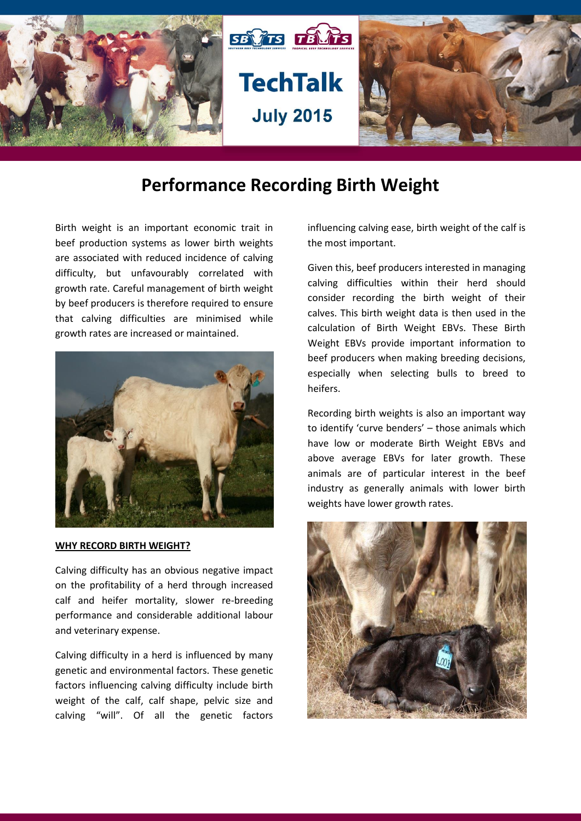

# **Performance Recording Birth Weight**

Birth weight is an important economic trait in beef production systems as lower birth weights are associated with reduced incidence of calving difficulty, but unfavourably correlated with growth rate. Careful management of birth weight by beef producers is therefore required to ensure that calving difficulties are minimised while growth rates are increased or maintained.



#### **WHY RECORD BIRTH WEIGHT?**

Calving difficulty has an obvious negative impact on the profitability of a herd through increased calf and heifer mortality, slower re-breeding performance and considerable additional labour and veterinary expense.

Calving difficulty in a herd is influenced by many genetic and environmental factors. These genetic factors influencing calving difficulty include birth weight of the calf, calf shape, pelvic size and calving "will". Of all the genetic factors

influencing calving ease, birth weight of the calf is the most important.

Given this, beef producers interested in managing calving difficulties within their herd should consider recording the birth weight of their calves. This birth weight data is then used in the calculation of Birth Weight EBVs. These Birth Weight EBVs provide important information to beef producers when making breeding decisions, especially when selecting bulls to breed to heifers.

Recording birth weights is also an important way to identify 'curve benders' – those animals which have low or moderate Birth Weight EBVs and above average EBVs for later growth. These animals are of particular interest in the beef industry as generally animals with lower birth weights have lower growth rates.

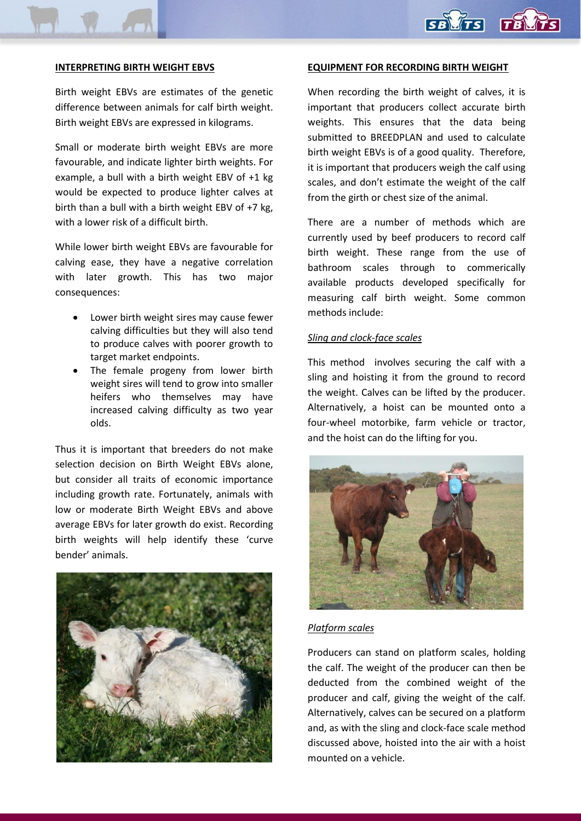#### **INTERPRETING BIRTH WEIGHT EBVS**

Birth weight EBVs are estimates of the genetic difference between animals for calf birth weight. Birth weight EBVs are expressed in kilograms.

Small or moderate birth weight EBVs are more favourable, and indicate lighter birth weights. For example, a bull with a birth weight EBV of +1 kg would be expected to produce lighter calves at birth than a bull with a birth weight EBV of +7 kg, with a lower risk of a difficult birth.

While lower birth weight EBVs are favourable for calving ease, they have a negative correlation with later growth. This has two major consequences:

- Lower birth weight sires may cause fewer calving difficulties but they will also tend to produce calves with poorer growth to target market endpoints.
- The female progeny from lower birth weight sires will tend to grow into smaller heifers who themselves may have increased calving difficulty as two year olds.

Thus it is important that breeders do not make selection decision on Birth Weight EBVs alone, but consider all traits of economic importance including growth rate. Fortunately, animals with low or moderate Birth Weight EBVs and above average EBVs for later growth do exist. Recording birth weights will help identify these 'curve bender' animals.



#### **EQUIPMENT FOR RECORDING BIRTH WEIGHT**

When recording the birth weight of calves, it is important that producers collect accurate birth weights. This ensures that the data being submitted to BREEDPLAN and used to calculate birth weight EBVs is of a good quality. Therefore, it is important that producers weigh the calf using scales, and don't estimate the weight of the calf from the girth or chest size of the animal.

There are a number of methods which are currently used by beef producers to record calf birth weight. These range from the use of bathroom scales through to commerically available products developed specifically for measuring calf birth weight. Some common methods include:

#### *Sling and clock-face scales*

This method involves securing the calf with a sling and hoisting it from the ground to record the weight. Calves can be lifted by the producer. Alternatively, a hoist can be mounted onto a four-wheel motorbike, farm vehicle or tractor, and the hoist can do the lifting for you.



#### *Platform scales*

Producers can stand on platform scales, holding the calf. The weight of the producer can then be deducted from the combined weight of the producer and calf, giving the weight of the calf. Alternatively, calves can be secured on a platform and, as with the sling and clock-face scale method discussed above, hoisted into the air with a hoist mounted on a vehicle.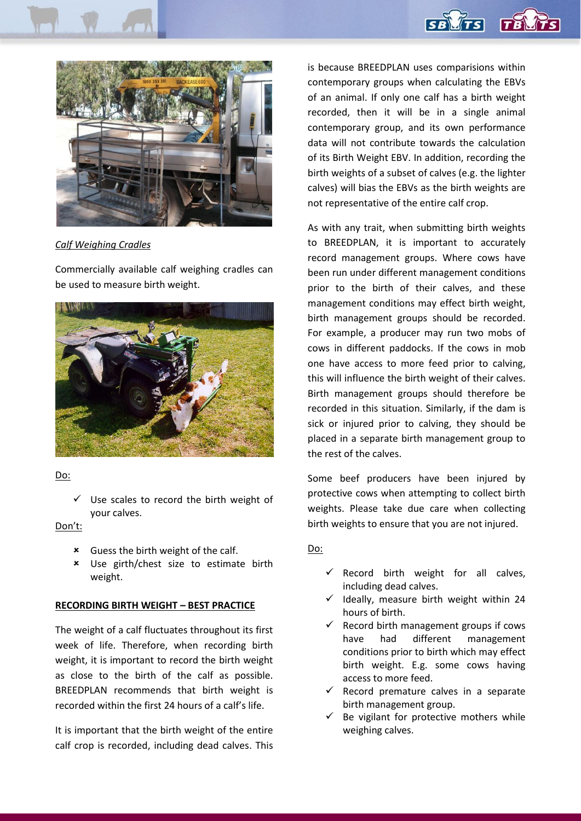



#### *Calf Weighing Cradles*

Commercially available calf weighing cradles can be used to measure birth weight.



#### Do:

 Use scales to record the birth weight of your calves.

### Don't:

- Guess the birth weight of the calf.
- Use girth/chest size to estimate birth weight.

#### **RECORDING BIRTH WEIGHT – BEST PRACTICE**

The weight of a calf fluctuates throughout its first week of life. Therefore, when recording birth weight, it is important to record the birth weight as close to the birth of the calf as possible. BREEDPLAN recommends that birth weight is recorded within the first 24 hours of a calf's life.

It is important that the birth weight of the entire calf crop is recorded, including dead calves. This is because BREEDPLAN uses comparisions within contemporary groups when calculating the EBVs of an animal. If only one calf has a birth weight recorded, then it will be in a single animal contemporary group, and its own performance data will not contribute towards the calculation of its Birth Weight EBV. In addition, recording the birth weights of a subset of calves (e.g. the lighter calves) will bias the EBVs as the birth weights are not representative of the entire calf crop.

As with any trait, when submitting birth weights to BREEDPLAN, it is important to accurately record management groups. Where cows have been run under different management conditions prior to the birth of their calves, and these management conditions may effect birth weight, birth management groups should be recorded. For example, a producer may run two mobs of cows in different paddocks. If the cows in mob one have access to more feed prior to calving, this will influence the birth weight of their calves. Birth management groups should therefore be recorded in this situation. Similarly, if the dam is sick or injured prior to calving, they should be placed in a separate birth management group to the rest of the calves.

Some beef producers have been injured by protective cows when attempting to collect birth weights. Please take due care when collecting birth weights to ensure that you are not injured.

#### Do:

- $\checkmark$  Record birth weight for all calves, including dead calves.
- $\checkmark$  Ideally, measure birth weight within 24 hours of birth.
- $\checkmark$  Record birth management groups if cows have had different management conditions prior to birth which may effect birth weight. E.g. some cows having access to more feed.
- $\checkmark$  Record premature calves in a separate birth management group.
- $\checkmark$  Be vigilant for protective mothers while weighing calves.